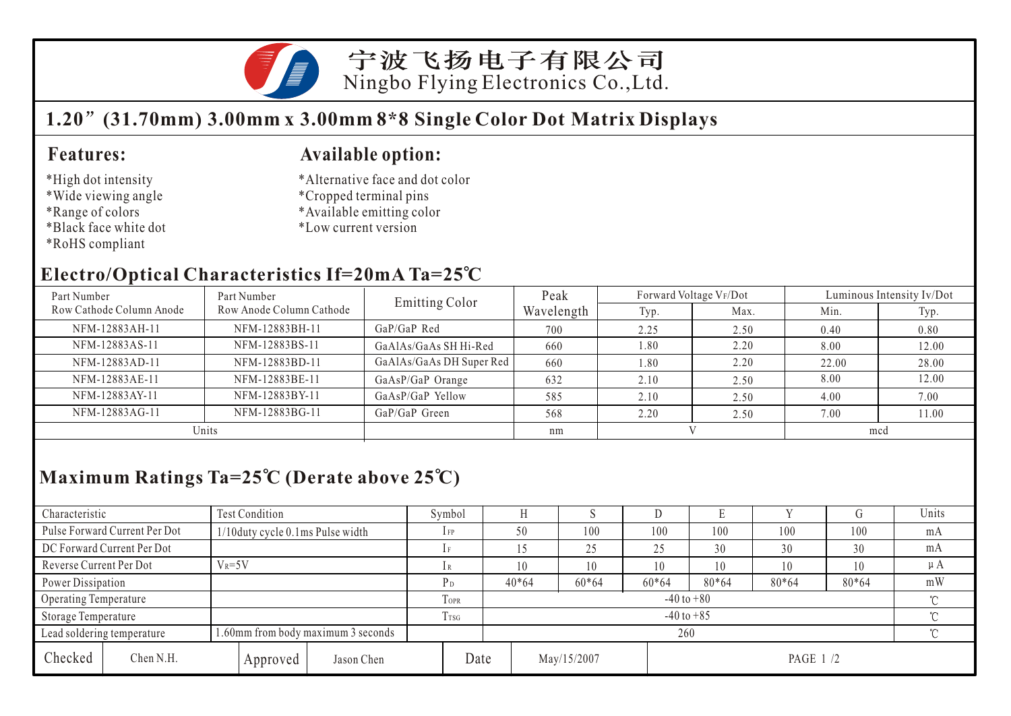

宁波飞扬电子有限公司 Ningbo Flying Electronics Co.,Ltd.

## **1.20 (31.70mm) 3.00mm x 3.00mm 8\*8 Single Color Dot Matrix Displays**

#### **Features:**

- \*High dot intensity
- \*Wide viewing angle
- \*Range of colors
- \*Black face white dot
- \*RoHS compliant

#### **Available option:**

- \*Alternative face and dot color
- \*Cropped terminal pins
- \*Available emitting color
- \*Low current version

### **Electro/Optical Characteristics If=20mA Ta=25 C**

| Part Number              | Part Number              | Emitting Color           | Peak       | Forward Voltage VF/Dot |      | Luminous Intensity Iv/Dot |       |  |
|--------------------------|--------------------------|--------------------------|------------|------------------------|------|---------------------------|-------|--|
| Row Cathode Column Anode | Row Anode Column Cathode |                          | Wavelength | Typ.                   | Max. | Min.                      | Typ.  |  |
| NFM-12883AH-11           | NFM-12883BH-11           | $GaP/GaP$ Red            | 700        | 2.25                   | 2.50 | 0.40                      | 0.80  |  |
| NFM-12883AS-11           | NFM-12883BS-11           | GaAlAs/GaAs SH Hi-Red    | 660        | 1.80                   | 2.20 | 8.00                      | 12.00 |  |
| NFM-12883AD-11           | NFM-12883BD-11           | GaAlAs/GaAs DH Super Red | 660        | .80                    | 2.20 | 22.00                     | 28.00 |  |
| NFM-12883AE-11           | NFM-12883BE-11           | GaAsP/GaP Orange         | 632        | 2.10                   | 2.50 | 8.00                      | 12.00 |  |
| NFM-12883AY-11           | NFM-12883BY-11           | GaAsP/GaP Yellow         | 585        | 2.10                   | 2.50 | 4.00                      | 7.00  |  |
| NFM-12883AG-11           | NFM-12883BG-11           | GaP/GaP Green            | 568        | 2.20                   | 2.50 | 7.00                      | 11.00 |  |
| Units                    |                          |                          | nm         |                        |      | mcd                       |       |  |

# **Maximum Ratings Ta=25 C (Derate above 25 C)**

| Characteristic          |                               | <b>Test Condition</b>              |                  |                            | Symbol                   |         |          |             | ◡        |       |       |       | Units   |
|-------------------------|-------------------------------|------------------------------------|------------------|----------------------------|--------------------------|---------|----------|-------------|----------|-------|-------|-------|---------|
|                         | Pulse Forward Current Per Dot | 1/10 duty cycle 0.1 ms Pulse width |                  |                            | $1$ FP                   | 50      |          | 100         | 100      | 100   | 100   | 100   | mA      |
|                         | DC Forward Current Per Dot    |                                    |                  |                            |                          |         |          | 25          | 25       | 30    | 30    | 30    | mA      |
| Reverse Current Per Dot |                               | $V_R = 5V$                         |                  |                            |                          |         |          | 10          | 10       | 10    | 10    | 10    | $\mu A$ |
| Power Dissipation       |                               |                                    |                  |                            | Рŋ                       | $40*64$ |          | $60*64$     | $60*64$  | 80*64 | 80*64 | 80*64 | mW      |
| Operating Temperature   |                               |                                    |                  | TOPR                       | $-40$ to $+80$<br>$\sim$ |         |          |             |          |       |       |       |         |
| Storage Temperature     |                               |                                    | T <sub>TSG</sub> | $-40$ to $+85$<br>$\gamma$ |                          |         |          |             |          |       |       |       |         |
|                         | Lead soldering temperature    | 1.60mm from body maximum 3 seconds |                  |                            |                          |         | $\gamma$ |             |          |       |       |       |         |
| Checked                 | Chen N.H.                     |                                    | Approved         | Jason Chen                 | Date                     |         |          | May/15/2007 | PAGE 1/2 |       |       |       |         |